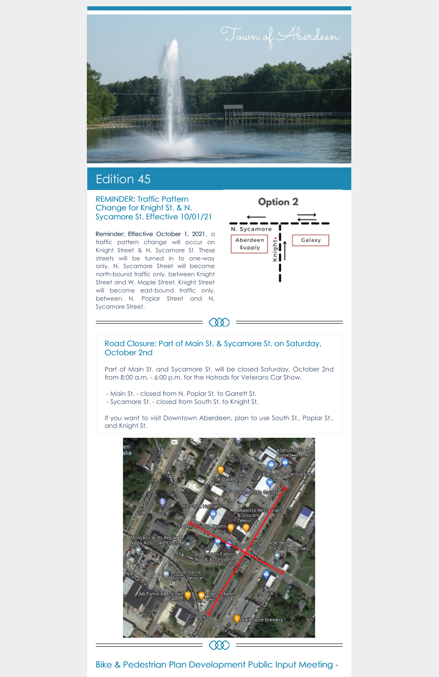

# Edition 45

#### REMINDER: Traffic Pattern Change for Knight St. & N. Sycamore St. Effective 10/01/21

Reminder: Effective October 1, 2021, a traffic pattern change will occur on Knight Street & N. Sycamore St. These streets will be turned in to one-way only. N. Sycamore Street will become north-bound traffic only, between Knight Street and W. Maple Street. Knight Street will become east-bound traffic only, between N. Poplar Street and N. Sycamore Street.



#### Road Closure: Part of Main St. & Sycamore St. on Saturday, October 2nd

æ

Part of Main St. and Sycamore St. will be closed Saturday, October 2nd from 8:00 a.m. - 6:00 p.m. for the Hotrods for Veterans Car Show.

- Main St. closed from N. Poplar St. to Garrett St.
- Sycamore St. closed from South St. to Knight St.

If you want to visit Downtown Aberdeen, plan to use South St., Poplar St., and Knight St.



# Bike & Pedestrian Plan Development Public Input Meeting -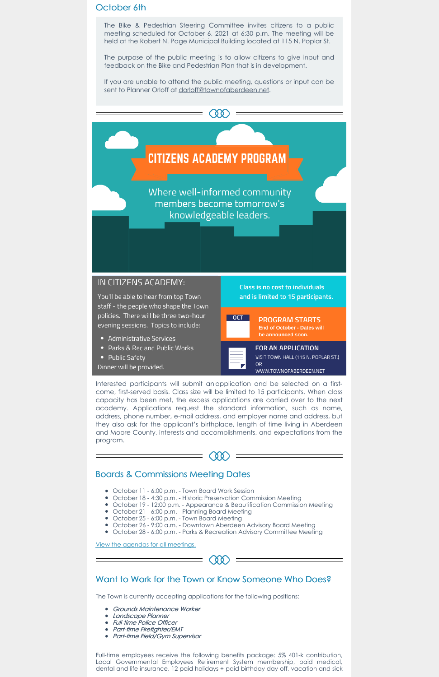### October 6th

The Bike & Pedestrian Steering Committee invites citizens to a public meeting scheduled for October 6, 2021 at 6:30 p.m. The meeting will be held at the Robert N. Page Municipal Building located at 115 N. Poplar St.

If you are unable to attend the public meeting, questions or input can be sent to Planner Orloff at dorloff@townofaberdeen.net.

**COO** 



Where well-informed community members become tomorrow's knowledgeable leaders.

# IN CITIZENS ACADEMY:

You'll be able to hear from top Town staff - the people who shape the Town policies. There will be three two-hour evening sessions. Topics to include:

- Administrative Services
- Parks & Rec and Public Works
- Public Safety

Dinner will be provided.

Class is no cost to individuals and is limited to 15 participants.





OR

FOR AN APPLICATION VISIT TOWN HALL (115 N. POPLAR ST.) WWW.TOWNOFABERDEEN.NET

The purpose of the public meeting is to allow citizens to give input and feedback on the Bike and Pedestrian Plan that is in development.

Interested participants will submit an application and be selected on a firstcome, first-served basis. Class size will be limited to 15 participants. When class capacity has been met, the excess applications are carried over to the next academy. Applications request the standard information, such as name, address, phone number, e-mail address, and employer name and address, but they also ask for the applicant's birthplace, length of time living in Aberdeen and Moore County, interests and accomplishments, and expectations from the program.

 $^{\circ}$ 

- Grounds Maintenance Worker
- Landscape Planner
- Full-time Police Officer
- Part-time Firefighter/EMT
- Part-time Field/Gym Supervisor

# Boards & Commissions Meeting Dates

- October 11 6:00 p.m. Town Board Work Session
- 
- $\bullet\,$  October 18 4:30 p.m. Historic Preservation Commission Meeting
- October 19 12:00 p.m. Appearance & Beautification Commission Meeting
- October 21 6:00 p.m. Planning Board Meeting
- October 25 6:00 p.m. Town Board Meeting
- October 26 9:00 a.m. Downtown Aberdeen Advisory Board Meeting
- October 28 6:00 p.m. Parks & Recreation Advisory Committee Meeting

View the agendas for all meetings.

#### Want to Work for the Town or Know Someone Who Does?

The Town is currently accepting applications for the following positions:

Full-time employees receive the following benefits package: 5% 401-k contribution, Local Governmental Employees Retirement System membership, paid medical, dental and life insurance, 12 paid holidays + paid birthday day off, vacation and sick